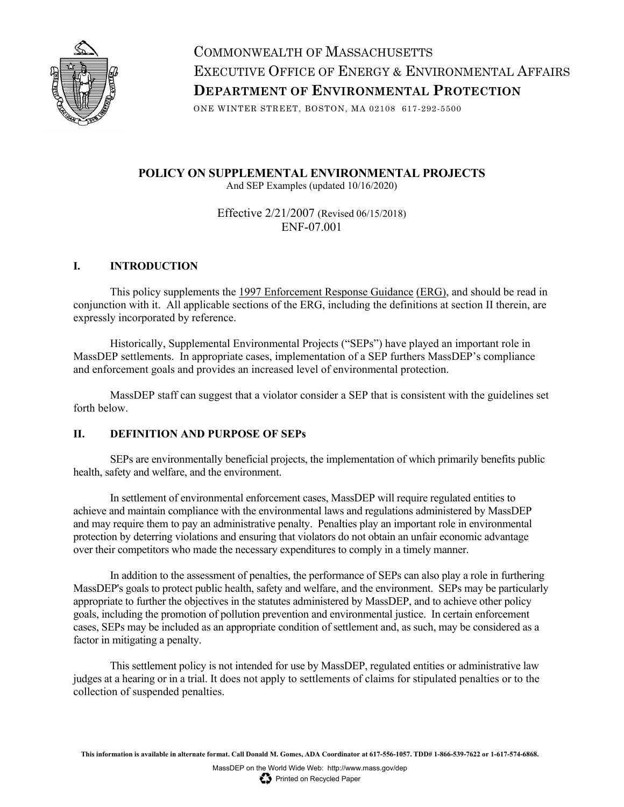

COMMONWEALTH OF MASSACHUSETTS EXECUTIVE OFFICE OF ENERGY & ENVIRONMENTAL AFFAIRS **DEPARTMENT OF ENVIRONMENTAL PROTECTION**

ONE WINTER STREET, BOSTON, MA 02108 617-292-5500

**POLICY ON SUPPLEMENTAL ENVIRONMENTAL PROJECTS** And SEP Examples (updated 10/16/2020)

> Effective 2/21/2007 (Revised 06/15/2018) ENF-07.001

#### **I. INTRODUCTION**

This policy supplements the 1997 Enforcement Response Guidance (ERG), and should be read in conjunction with it. All applicable sections of the ERG, including the definitions at section II therein, are expressly incorporated by reference.

Historically, Supplemental Environmental Projects ("SEPs") have played an important role in MassDEP settlements. In appropriate cases, implementation of a SEP furthers MassDEP's compliance and enforcement goals and provides an increased level of environmental protection.

MassDEP staff can suggest that a violator consider a SEP that is consistent with the guidelines set forth below.

#### **II. DEFINITION AND PURPOSE OF SEPs**

SEPs are environmentally beneficial projects, the implementation of which primarily benefits public health, safety and welfare, and the environment.

In settlement of environmental enforcement cases, MassDEP will require regulated entities to achieve and maintain compliance with the environmental laws and regulations administered by MassDEP and may require them to pay an administrative penalty. Penalties play an important role in environmental protection by deterring violations and ensuring that violators do not obtain an unfair economic advantage over their competitors who made the necessary expenditures to comply in a timely manner.

In addition to the assessment of penalties, the performance of SEPs can also play a role in furthering MassDEP's goals to protect public health, safety and welfare, and the environment. SEPs may be particularly appropriate to further the objectives in the statutes administered by MassDEP, and to achieve other policy goals, including the promotion of pollution prevention and environmental justice. In certain enforcement cases, SEPs may be included as an appropriate condition of settlement and, as such, may be considered as a factor in mitigating a penalty.

This settlement policy is not intended for use by MassDEP, regulated entities or administrative law judges at a hearing or in a trial. It does not apply to settlements of claims for stipulated penalties or to the collection of suspended penalties.

**This information is available in alternate format. Call Donald M. Gomes, ADA Coordinator at 617-556-1057. TDD# 1-866-539-7622 or 1-617-574-6868.**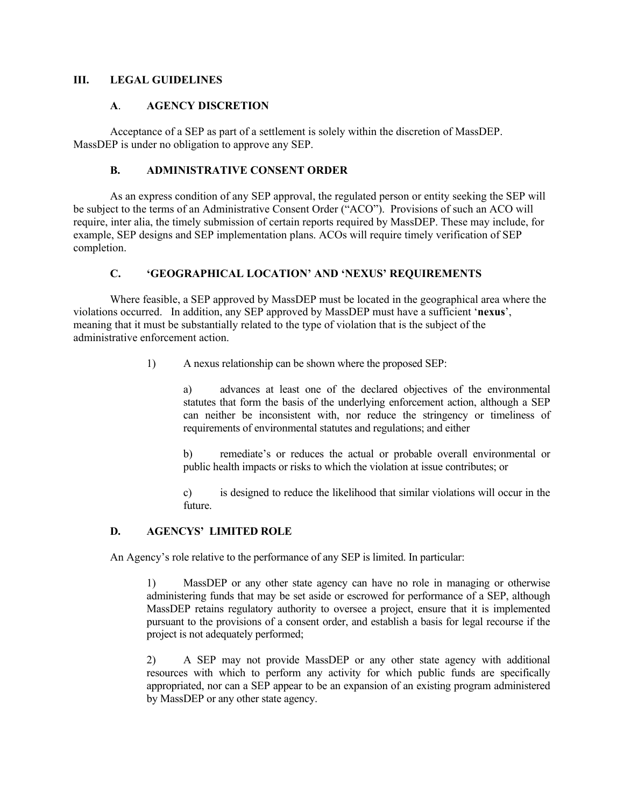#### **III. LEGAL GUIDELINES**

#### **A**. **AGENCY DISCRETION**

Acceptance of a SEP as part of a settlement is solely within the discretion of MassDEP. MassDEP is under no obligation to approve any SEP.

#### **B. ADMINISTRATIVE CONSENT ORDER**

As an express condition of any SEP approval, the regulated person or entity seeking the SEP will be subject to the terms of an Administrative Consent Order ("ACO"). Provisions of such an ACO will require, inter alia, the timely submission of certain reports required by MassDEP. These may include, for example, SEP designs and SEP implementation plans. ACOs will require timely verification of SEP completion.

#### **C. 'GEOGRAPHICAL LOCATION' AND 'NEXUS' REQUIREMENTS**

Where feasible, a SEP approved by MassDEP must be located in the geographical area where the violations occurred. In addition, any SEP approved by MassDEP must have a sufficient '**nexus**', meaning that it must be substantially related to the type of violation that is the subject of the administrative enforcement action.

1) A nexus relationship can be shown where the proposed SEP:

a) advances at least one of the declared objectives of the environmental statutes that form the basis of the underlying enforcement action, although a SEP can neither be inconsistent with, nor reduce the stringency or timeliness of requirements of environmental statutes and regulations; and either

b) remediate's or reduces the actual or probable overall environmental or public health impacts or risks to which the violation at issue contributes; or

c) is designed to reduce the likelihood that similar violations will occur in the future.

#### **D. AGENCYS' LIMITED ROLE**

An Agency's role relative to the performance of any SEP is limited. In particular:

1) MassDEP or any other state agency can have no role in managing or otherwise administering funds that may be set aside or escrowed for performance of a SEP, although MassDEP retains regulatory authority to oversee a project, ensure that it is implemented pursuant to the provisions of a consent order, and establish a basis for legal recourse if the project is not adequately performed;

2) A SEP may not provide MassDEP or any other state agency with additional resources with which to perform any activity for which public funds are specifically appropriated, nor can a SEP appear to be an expansion of an existing program administered by MassDEP or any other state agency.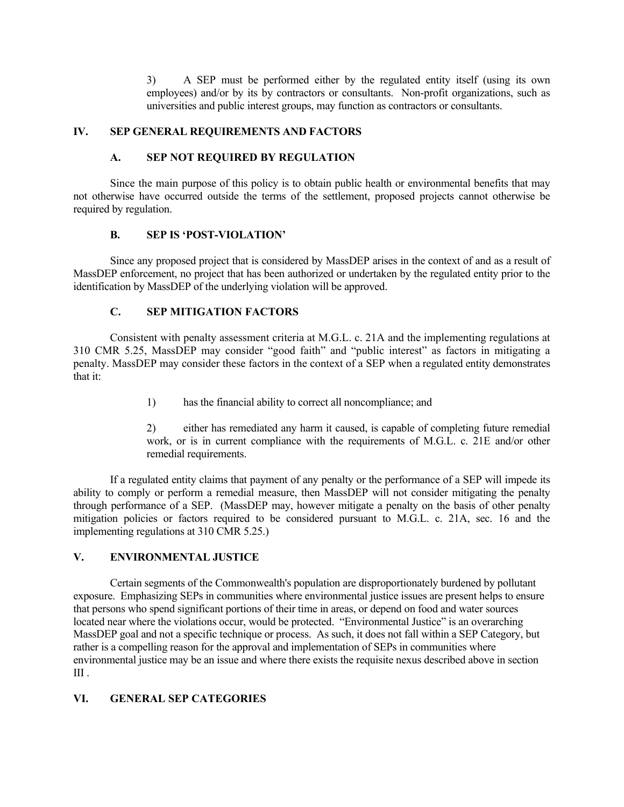3) A SEP must be performed either by the regulated entity itself (using its own employees) and/or by its by contractors or consultants. Non-profit organizations, such as universities and public interest groups, may function as contractors or consultants.

#### **IV. SEP GENERAL REQUIREMENTS AND FACTORS**

#### **A. SEP NOT REQUIRED BY REGULATION**

Since the main purpose of this policy is to obtain public health or environmental benefits that may not otherwise have occurred outside the terms of the settlement, proposed projects cannot otherwise be required by regulation.

#### **B. SEP IS 'POST-VIOLATION'**

Since any proposed project that is considered by MassDEP arises in the context of and as a result of MassDEP enforcement, no project that has been authorized or undertaken by the regulated entity prior to the identification by MassDEP of the underlying violation will be approved.

#### **C. SEP MITIGATION FACTORS**

Consistent with penalty assessment criteria at M.G.L. c. 21A and the implementing regulations at 310 CMR 5.25, MassDEP may consider "good faith" and "public interest" as factors in mitigating a penalty. MassDEP may consider these factors in the context of a SEP when a regulated entity demonstrates that it:

1) has the financial ability to correct all noncompliance; and

2) either has remediated any harm it caused, is capable of completing future remedial work, or is in current compliance with the requirements of M.G.L. c. 21E and/or other remedial requirements.

If a regulated entity claims that payment of any penalty or the performance of a SEP will impede its ability to comply or perform a remedial measure, then MassDEP will not consider mitigating the penalty through performance of a SEP. (MassDEP may, however mitigate a penalty on the basis of other penalty mitigation policies or factors required to be considered pursuant to M.G.L. c. 21A, sec. 16 and the implementing regulations at 310 CMR 5.25.)

#### **V. ENVIRONMENTAL JUSTICE**

Certain segments of the Commonwealth's population are disproportionately burdened by pollutant exposure. Emphasizing SEPs in communities where environmental justice issues are present helps to ensure that persons who spend significant portions of their time in areas, or depend on food and water sources located near where the violations occur, would be protected. "Environmental Justice" is an overarching MassDEP goal and not a specific technique or process. As such, it does not fall within a SEP Category, but rather is a compelling reason for the approval and implementation of SEPs in communities where environmental justice may be an issue and where there exists the requisite nexus described above in section III .

#### **VI. GENERAL SEP CATEGORIES**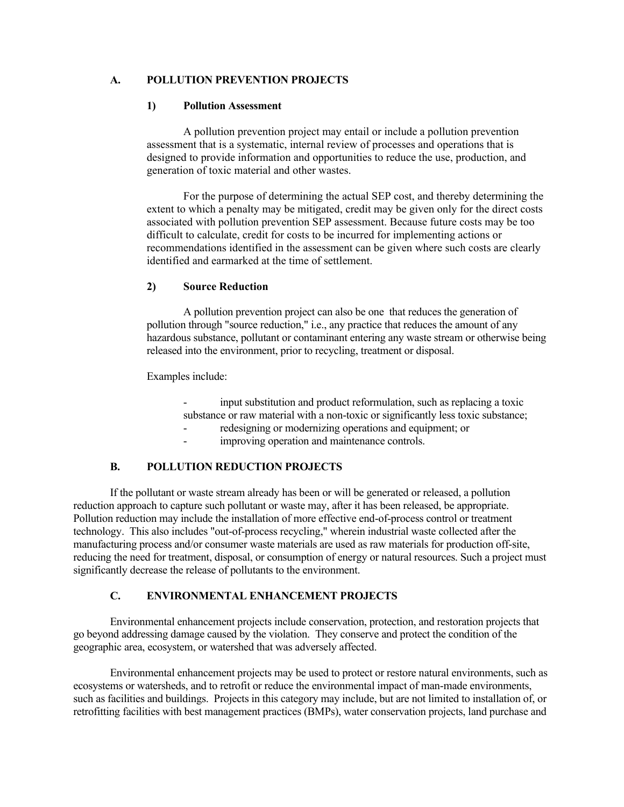#### **A. POLLUTION PREVENTION PROJECTS**

#### **1) Pollution Assessment**

A pollution prevention project may entail or include a pollution prevention assessment that is a systematic, internal review of processes and operations that is designed to provide information and opportunities to reduce the use, production, and generation of toxic material and other wastes.

For the purpose of determining the actual SEP cost, and thereby determining the extent to which a penalty may be mitigated, credit may be given only for the direct costs associated with pollution prevention SEP assessment. Because future costs may be too difficult to calculate, credit for costs to be incurred for implementing actions or recommendations identified in the assessment can be given where such costs are clearly identified and earmarked at the time of settlement.

#### **2) Source Reduction**

A pollution prevention project can also be one that reduces the generation of pollution through "source reduction," i.e., any practice that reduces the amount of any hazardous substance, pollutant or contaminant entering any waste stream or otherwise being released into the environment, prior to recycling, treatment or disposal.

Examples include:

input substitution and product reformulation, such as replacing a toxic substance or raw material with a non-toxic or significantly less toxic substance;

- redesigning or modernizing operations and equipment; or
- improving operation and maintenance controls.

#### **B. POLLUTION REDUCTION PROJECTS**

If the pollutant or waste stream already has been or will be generated or released, a pollution reduction approach to capture such pollutant or waste may, after it has been released, be appropriate. Pollution reduction may include the installation of more effective end-of-process control or treatment technology. This also includes "out-of-process recycling," wherein industrial waste collected after the manufacturing process and/or consumer waste materials are used as raw materials for production off-site, reducing the need for treatment, disposal, or consumption of energy or natural resources. Such a project must significantly decrease the release of pollutants to the environment.

#### **C. ENVIRONMENTAL ENHANCEMENT PROJECTS**

Environmental enhancement projects include conservation, protection, and restoration projects that go beyond addressing damage caused by the violation. They conserve and protect the condition of the geographic area, ecosystem, or watershed that was adversely affected.

Environmental enhancement projects may be used to protect or restore natural environments, such as ecosystems or watersheds, and to retrofit or reduce the environmental impact of man-made environments, such as facilities and buildings. Projects in this category may include, but are not limited to installation of, or retrofitting facilities with best management practices (BMPs), water conservation projects, land purchase and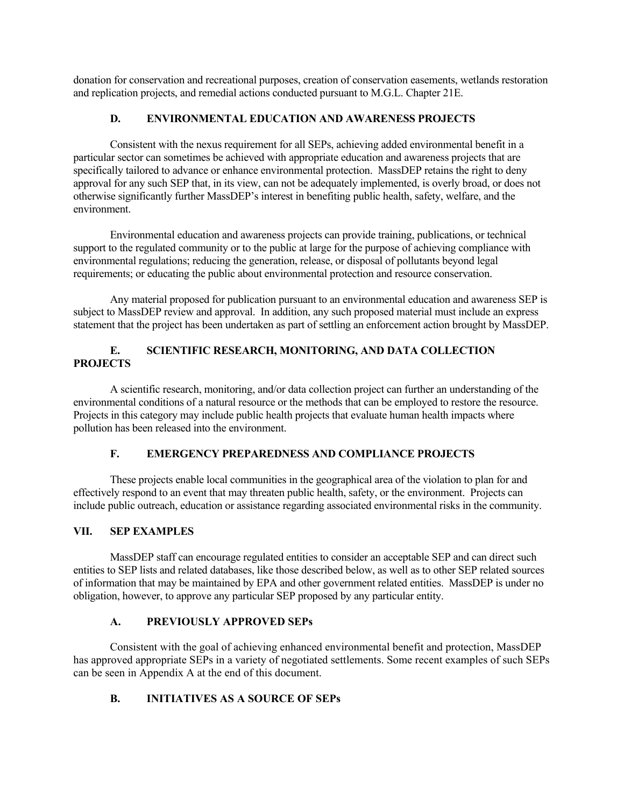donation for conservation and recreational purposes, creation of conservation easements, wetlands restoration and replication projects, and remedial actions conducted pursuant to M.G.L. Chapter 21E.

#### **D. ENVIRONMENTAL EDUCATION AND AWARENESS PROJECTS**

Consistent with the nexus requirement for all SEPs, achieving added environmental benefit in a particular sector can sometimes be achieved with appropriate education and awareness projects that are specifically tailored to advance or enhance environmental protection. MassDEP retains the right to deny approval for any such SEP that, in its view, can not be adequately implemented, is overly broad, or does not otherwise significantly further MassDEP's interest in benefiting public health, safety, welfare, and the environment.

Environmental education and awareness projects can provide training, publications, or technical support to the regulated community or to the public at large for the purpose of achieving compliance with environmental regulations; reducing the generation, release, or disposal of pollutants beyond legal requirements; or educating the public about environmental protection and resource conservation.

Any material proposed for publication pursuant to an environmental education and awareness SEP is subject to MassDEP review and approval. In addition, any such proposed material must include an express statement that the project has been undertaken as part of settling an enforcement action brought by MassDEP.

## **E. SCIENTIFIC RESEARCH, MONITORING, AND DATA COLLECTION PROJECTS**

A scientific research, monitoring, and/or data collection project can further an understanding of the environmental conditions of a natural resource or the methods that can be employed to restore the resource. Projects in this category may include public health projects that evaluate human health impacts where pollution has been released into the environment.

## **F. EMERGENCY PREPAREDNESS AND COMPLIANCE PROJECTS**

These projects enable local communities in the geographical area of the violation to plan for and effectively respond to an event that may threaten public health, safety, or the environment. Projects can include public outreach, education or assistance regarding associated environmental risks in the community.

#### **VII. SEP EXAMPLES**

MassDEP staff can encourage regulated entities to consider an acceptable SEP and can direct such entities to SEP lists and related databases, like those described below, as well as to other SEP related sources of information that may be maintained by EPA and other government related entities. MassDEP is under no obligation, however, to approve any particular SEP proposed by any particular entity.

#### **A. PREVIOUSLY APPROVED SEPs**

Consistent with the goal of achieving enhanced environmental benefit and protection, MassDEP has approved appropriate SEPs in a variety of negotiated settlements. Some recent examples of such SEPs can be seen in Appendix A at the end of this document.

#### **B. INITIATIVES AS A SOURCE OF SEPs**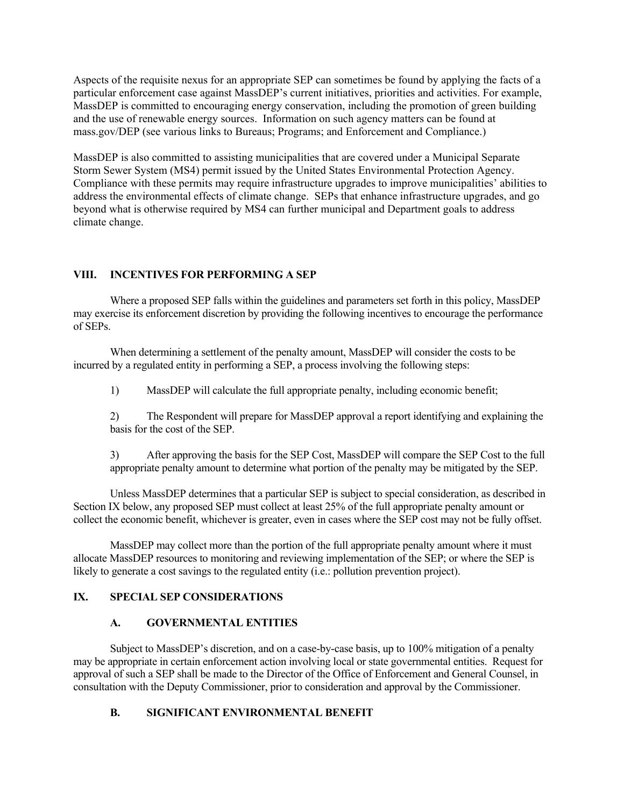Aspects of the requisite nexus for an appropriate SEP can sometimes be found by applying the facts of a particular enforcement case against MassDEP's current initiatives, priorities and activities. For example, MassDEP is committed to encouraging energy conservation, including the promotion of green building and the use of renewable energy sources. Information on such agency matters can be found at mass.gov/DEP (see various links to Bureaus; Programs; and Enforcement and Compliance.)

MassDEP is also committed to assisting municipalities that are covered under a Municipal Separate Storm Sewer System (MS4) permit issued by the United States Environmental Protection Agency. Compliance with these permits may require infrastructure upgrades to improve municipalities' abilities to address the environmental effects of climate change. SEPs that enhance infrastructure upgrades, and go beyond what is otherwise required by MS4 can further municipal and Department goals to address climate change.

#### **VIII. INCENTIVES FOR PERFORMING A SEP**

Where a proposed SEP falls within the guidelines and parameters set forth in this policy, MassDEP may exercise its enforcement discretion by providing the following incentives to encourage the performance of SEPs.

When determining a settlement of the penalty amount, MassDEP will consider the costs to be incurred by a regulated entity in performing a SEP, a process involving the following steps:

1) MassDEP will calculate the full appropriate penalty, including economic benefit;

2) The Respondent will prepare for MassDEP approval a report identifying and explaining the basis for the cost of the SEP.

3) After approving the basis for the SEP Cost, MassDEP will compare the SEP Cost to the full appropriate penalty amount to determine what portion of the penalty may be mitigated by the SEP.

Unless MassDEP determines that a particular SEP is subject to special consideration, as described in Section IX below, any proposed SEP must collect at least 25% of the full appropriate penalty amount or collect the economic benefit, whichever is greater, even in cases where the SEP cost may not be fully offset.

MassDEP may collect more than the portion of the full appropriate penalty amount where it must allocate MassDEP resources to monitoring and reviewing implementation of the SEP; or where the SEP is likely to generate a cost savings to the regulated entity (i.e.: pollution prevention project).

#### **IX. SPECIAL SEP CONSIDERATIONS**

#### **A. GOVERNMENTAL ENTITIES**

Subject to MassDEP's discretion, and on a case-by-case basis, up to 100% mitigation of a penalty may be appropriate in certain enforcement action involving local or state governmental entities. Request for approval of such a SEP shall be made to the Director of the Office of Enforcement and General Counsel, in consultation with the Deputy Commissioner, prior to consideration and approval by the Commissioner.

#### **B. SIGNIFICANT ENVIRONMENTAL BENEFIT**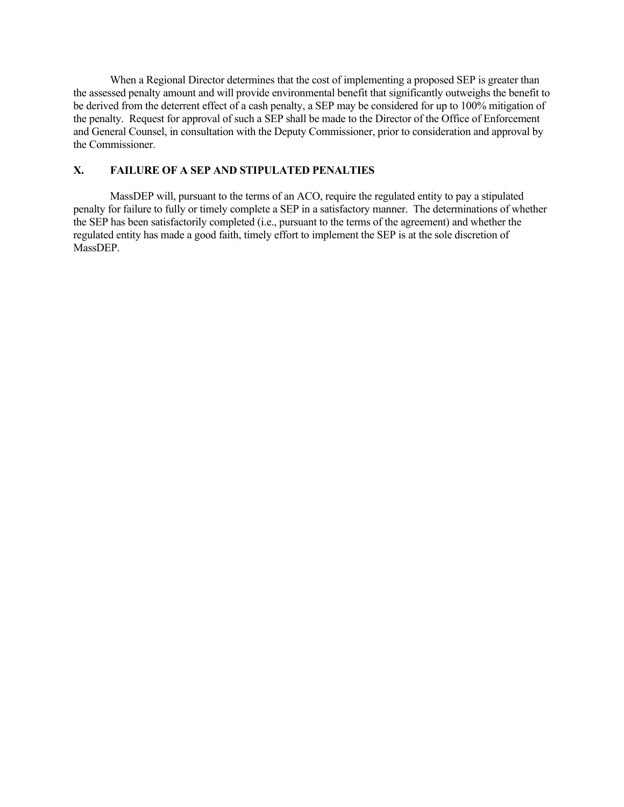When a Regional Director determines that the cost of implementing a proposed SEP is greater than the assessed penalty amount and will provide environmental benefit that significantly outweighs the benefit to be derived from the deterrent effect of a cash penalty, a SEP may be considered for up to 100% mitigation of the penalty. Request for approval of such a SEP shall be made to the Director of the Office of Enforcement and General Counsel, in consultation with the Deputy Commissioner, prior to consideration and approval by the Commissioner.

#### **X. FAILURE OF A SEP AND STIPULATED PENALTIES**

MassDEP will, pursuant to the terms of an ACO, require the regulated entity to pay a stipulated penalty for failure to fully or timely complete a SEP in a satisfactory manner. The determinations of whether the SEP has been satisfactorily completed (i.e., pursuant to the terms of the agreement) and whether the regulated entity has made a good faith, timely effort to implement the SEP is at the sole discretion of MassDEP.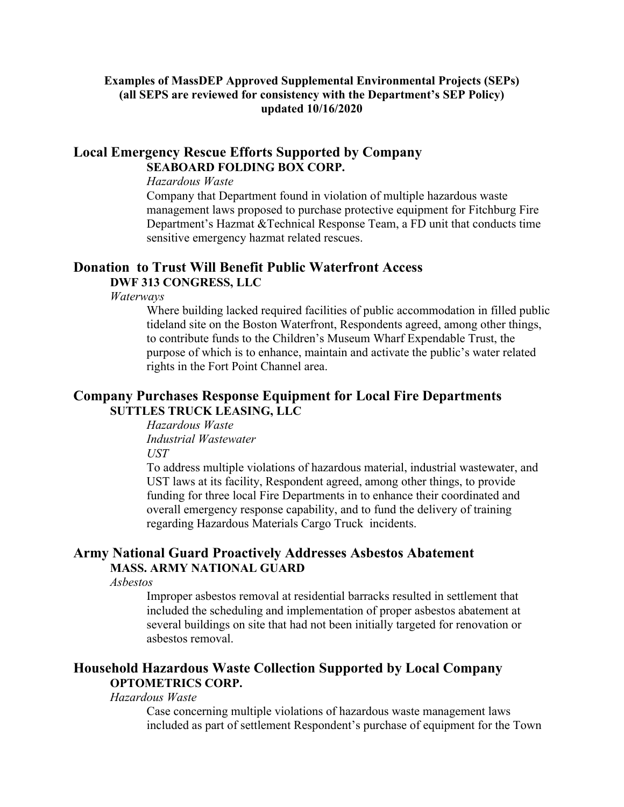## **Examples of MassDEP Approved Supplemental Environmental Projects (SEPs) (all SEPS are reviewed for consistency with the Department's SEP Policy) updated 10/16/2020**

## **Local Emergency Rescue Efforts Supported by Company SEABOARD FOLDING BOX CORP.**

#### *Hazardous Waste*

Company that Department found in violation of multiple hazardous waste management laws proposed to purchase protective equipment for Fitchburg Fire Department's Hazmat &Technical Response Team, a FD unit that conducts time sensitive emergency hazmat related rescues.

# **Donation to Trust Will Benefit Public Waterfront Access**

## **DWF 313 CONGRESS, LLC**

*Waterways* 

Where building lacked required facilities of public accommodation in filled public tideland site on the Boston Waterfront, Respondents agreed, among other things, to contribute funds to the Children's Museum Wharf Expendable Trust, the purpose of which is to enhance, maintain and activate the public's water related rights in the Fort Point Channel area.

## **Company Purchases Response Equipment for Local Fire Departments SUTTLES TRUCK LEASING, LLC**

*Hazardous Waste Industrial Wastewater UST* 

To address multiple violations of hazardous material, industrial wastewater, and UST laws at its facility, Respondent agreed, among other things, to provide funding for three local Fire Departments in to enhance their coordinated and overall emergency response capability, and to fund the delivery of training regarding Hazardous Materials Cargo Truck incidents.

## **Army National Guard Proactively Addresses Asbestos Abatement MASS. ARMY NATIONAL GUARD**

*Asbestos*

Improper asbestos removal at residential barracks resulted in settlement that included the scheduling and implementation of proper asbestos abatement at several buildings on site that had not been initially targeted for renovation or asbestos removal.

## **Household Hazardous Waste Collection Supported by Local Company OPTOMETRICS CORP.**

#### *Hazardous Waste*

Case concerning multiple violations of hazardous waste management laws included as part of settlement Respondent's purchase of equipment for the Town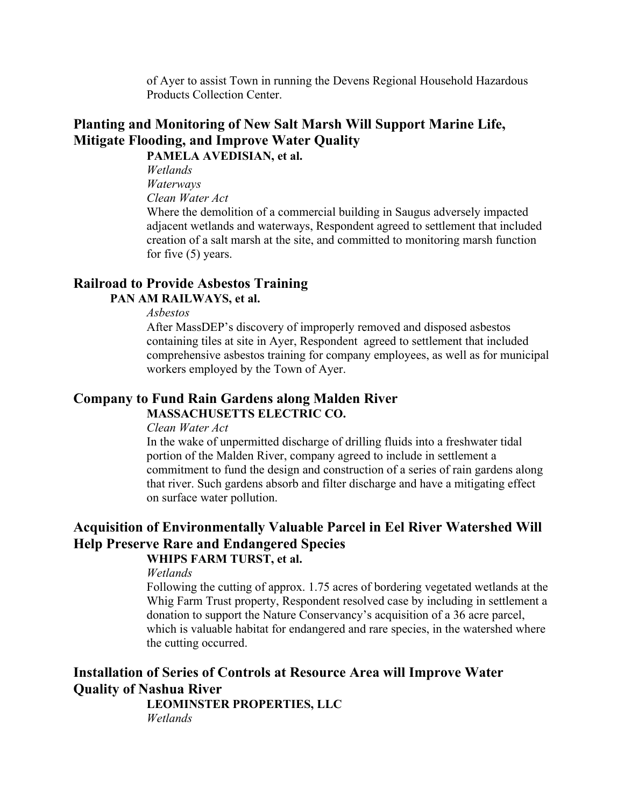of Ayer to assist Town in running the Devens Regional Household Hazardous Products Collection Center.

# **Planting and Monitoring of New Salt Marsh Will Support Marine Life, Mitigate Flooding, and Improve Water Quality**

**PAMELA AVEDISIAN, et al.** 

*Wetlands Waterways*

*Clean Water Act* 

Where the demolition of a commercial building in Saugus adversely impacted adjacent wetlands and waterways, Respondent agreed to settlement that included creation of a salt marsh at the site, and committed to monitoring marsh function for five (5) years.

# **Railroad to Provide Asbestos Training**

## **PAN AM RAILWAYS, et al.**

## *Asbestos*

After MassDEP's discovery of improperly removed and disposed asbestos containing tiles at site in Ayer, Respondent agreed to settlement that included comprehensive asbestos training for company employees, as well as for municipal workers employed by the Town of Ayer.

# **Company to Fund Rain Gardens along Malden River MASSACHUSETTS ELECTRIC CO.**

#### *Clean Water Act*

In the wake of unpermitted discharge of drilling fluids into a freshwater tidal portion of the Malden River, company agreed to include in settlement a commitment to fund the design and construction of a series of rain gardens along that river. Such gardens absorb and filter discharge and have a mitigating effect on surface water pollution.

# **Acquisition of Environmentally Valuable Parcel in Eel River Watershed Will Help Preserve Rare and Endangered Species**

# **WHIPS FARM TURST, et al.**

*Wetlands* 

Following the cutting of approx. 1.75 acres of bordering vegetated wetlands at the Whig Farm Trust property, Respondent resolved case by including in settlement a donation to support the Nature Conservancy's acquisition of a 36 acre parcel, which is valuable habitat for endangered and rare species, in the watershed where the cutting occurred.

# **Installation of Series of Controls at Resource Area will Improve Water Quality of Nashua River**

**LEOMINSTER PROPERTIES, LLC**

*Wetlands*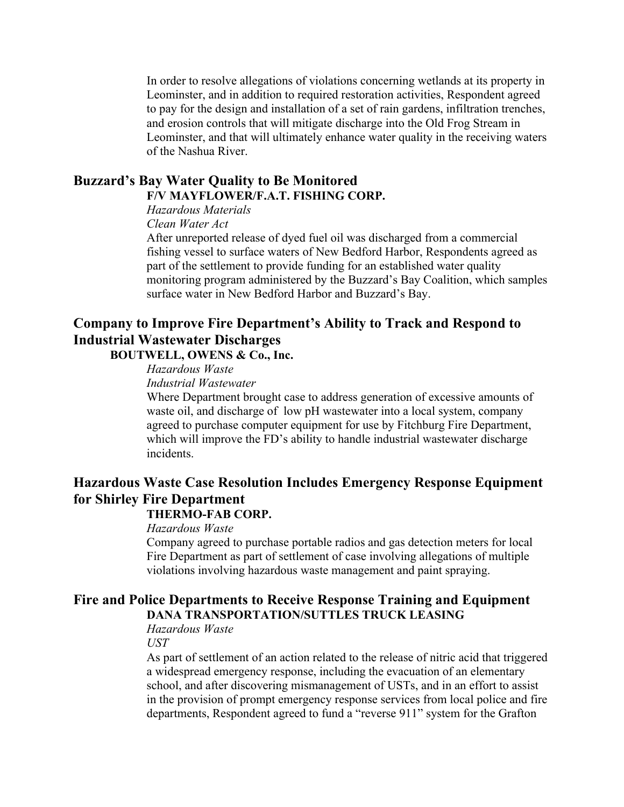In order to resolve allegations of violations concerning wetlands at its property in Leominster, and in addition to required restoration activities, Respondent agreed to pay for the design and installation of a set of rain gardens, infiltration trenches, and erosion controls that will mitigate discharge into the Old Frog Stream in Leominster, and that will ultimately enhance water quality in the receiving waters of the Nashua River.

## **Buzzard's Bay Water Quality to Be Monitored F/V MAYFLOWER/F.A.T. FISHING CORP.**

*Hazardous Materials*

*Clean Water Act* 

After unreported release of dyed fuel oil was discharged from a commercial fishing vessel to surface waters of New Bedford Harbor, Respondents agreed as part of the settlement to provide funding for an established water quality monitoring program administered by the Buzzard's Bay Coalition, which samples surface water in New Bedford Harbor and Buzzard's Bay.

# **Company to Improve Fire Department's Ability to Track and Respond to Industrial Wastewater Discharges**

**BOUTWELL, OWENS & Co., Inc.** 

*Hazardous Waste*

*Industrial Wastewater* 

Where Department brought case to address generation of excessive amounts of waste oil, and discharge of low pH wastewater into a local system, company agreed to purchase computer equipment for use by Fitchburg Fire Department, which will improve the FD's ability to handle industrial wastewater discharge incidents.

# **Hazardous Waste Case Resolution Includes Emergency Response Equipment for Shirley Fire Department**

## **THERMO-FAB CORP.**

## *Hazardous Waste*

Company agreed to purchase portable radios and gas detection meters for local Fire Department as part of settlement of case involving allegations of multiple violations involving hazardous waste management and paint spraying.

## **Fire and Police Departments to Receive Response Training and Equipment DANA TRANSPORTATION/SUTTLES TRUCK LEASING**

*Hazardous Waste*

*UST* 

As part of settlement of an action related to the release of nitric acid that triggered a widespread emergency response, including the evacuation of an elementary school, and after discovering mismanagement of USTs, and in an effort to assist in the provision of prompt emergency response services from local police and fire departments, Respondent agreed to fund a "reverse 911" system for the Grafton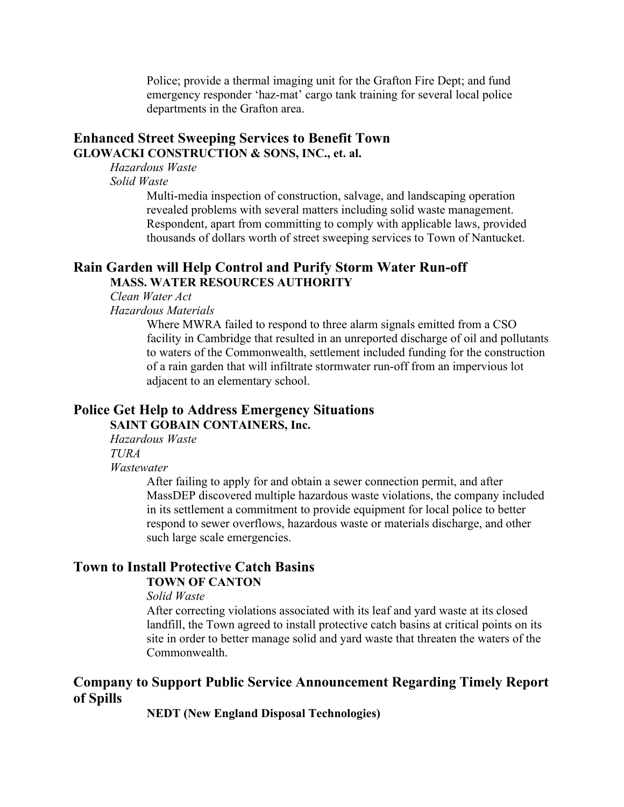Police; provide a thermal imaging unit for the Grafton Fire Dept; and fund emergency responder 'haz-mat' cargo tank training for several local police departments in the Grafton area.

## **Enhanced Street Sweeping Services to Benefit Town GLOWACKI CONSTRUCTION & SONS, INC., et. al.**

*Hazardous Waste*

*Solid Waste*

Multi-media inspection of construction, salvage, and landscaping operation revealed problems with several matters including solid waste management. Respondent, apart from committing to comply with applicable laws, provided thousands of dollars worth of street sweeping services to Town of Nantucket.

#### **Rain Garden will Help Control and Purify Storm Water Run-off MASS. WATER RESOURCES AUTHORITY**

*Clean Water Act*

*Hazardous Materials* 

Where MWRA failed to respond to three alarm signals emitted from a CSO facility in Cambridge that resulted in an unreported discharge of oil and pollutants to waters of the Commonwealth, settlement included funding for the construction of a rain garden that will infiltrate stormwater run-off from an impervious lot adjacent to an elementary school.

## **Police Get Help to Address Emergency Situations SAINT GOBAIN CONTAINERS, Inc.**

*Hazardous Waste TURA Wastewater*

After failing to apply for and obtain a sewer connection permit, and after MassDEP discovered multiple hazardous waste violations, the company included in its settlement a commitment to provide equipment for local police to better respond to sewer overflows, hazardous waste or materials discharge, and other such large scale emergencies.

#### **Town to Install Protective Catch Basins TOWN OF CANTON**

#### *Solid Waste*

After correcting violations associated with its leaf and yard waste at its closed landfill, the Town agreed to install protective catch basins at critical points on its site in order to better manage solid and yard waste that threaten the waters of the Commonwealth.

## **Company to Support Public Service Announcement Regarding Timely Report of Spills**

**NEDT (New England Disposal Technologies)**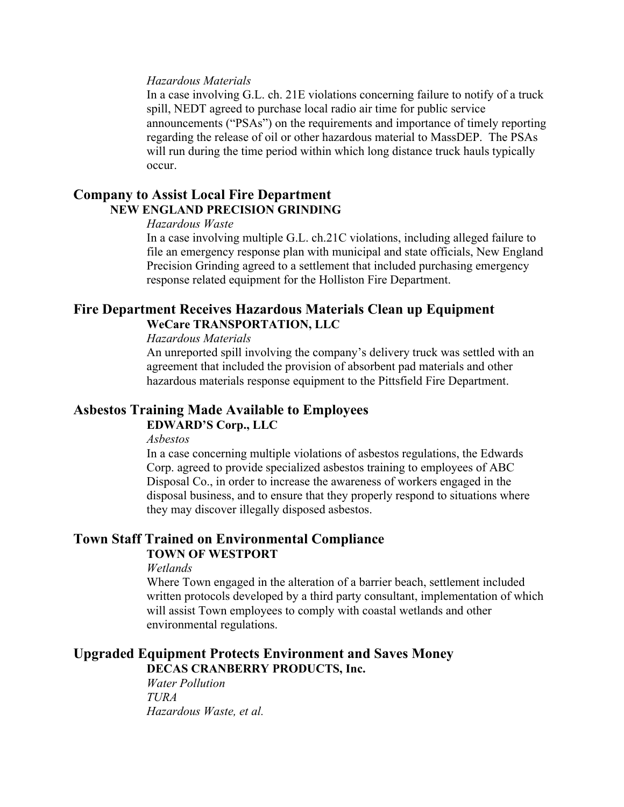#### *Hazardous Materials*

In a case involving G.L. ch. 21E violations concerning failure to notify of a truck spill, NEDT agreed to purchase local radio air time for public service announcements ("PSAs") on the requirements and importance of timely reporting regarding the release of oil or other hazardous material to MassDEP. The PSAs will run during the time period within which long distance truck hauls typically occur.

## **Company to Assist Local Fire Department NEW ENGLAND PRECISION GRINDING**

#### *Hazardous Waste*

In a case involving multiple G.L. ch.21C violations, including alleged failure to file an emergency response plan with municipal and state officials, New England Precision Grinding agreed to a settlement that included purchasing emergency response related equipment for the Holliston Fire Department.

## **Fire Department Receives Hazardous Materials Clean up Equipment WeCare TRANSPORTATION, LLC**

#### *Hazardous Materials*

An unreported spill involving the company's delivery truck was settled with an agreement that included the provision of absorbent pad materials and other hazardous materials response equipment to the Pittsfield Fire Department.

## **Asbestos Training Made Available to Employees**

## **EDWARD'S Corp., LLC**

*Asbestos*

In a case concerning multiple violations of asbestos regulations, the Edwards Corp. agreed to provide specialized asbestos training to employees of ABC Disposal Co., in order to increase the awareness of workers engaged in the disposal business, and to ensure that they properly respond to situations where they may discover illegally disposed asbestos.

#### **Town Staff Trained on Environmental Compliance TOWN OF WESTPORT**

## *Wetlands*

Where Town engaged in the alteration of a barrier beach, settlement included written protocols developed by a third party consultant, implementation of which will assist Town employees to comply with coastal wetlands and other environmental regulations.

#### **Upgraded Equipment Protects Environment and Saves Money DECAS CRANBERRY PRODUCTS, Inc.**

*Water Pollution TURA Hazardous Waste, et al.*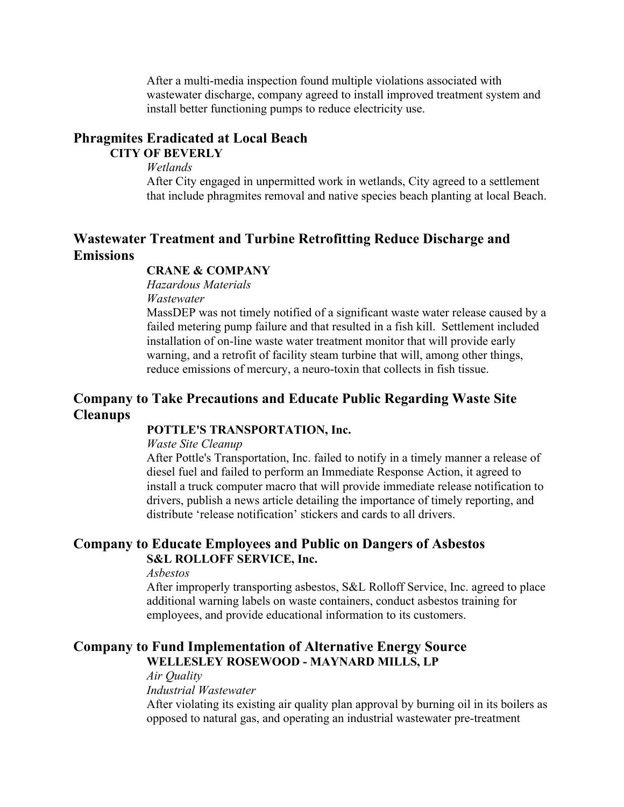After a multi-media inspection found multiple violations associated with wastewater discharge, company agreed to install improved treatment system and install better functioning pumps to reduce electricity use.

## **Phragmites Eradicated at Local Beach CITY OF BEVERLY**

*Wetlands*

After City engaged in unpermitted work in wetlands, City agreed to a settlement that include phragmites removal and native species beach planting at local Beach.

# **Wastewater Treatment and Turbine Retrofitting Reduce Discharge and Emissions**

## **CRANE & COMPANY**

*Hazardous Materials Wastewater*

MassDEP was not timely notified of a significant waste water release caused by a failed metering pump failure and that resulted in a fish kill. Settlement included installation of on-line waste water treatment monitor that will provide early warning, and a retrofit of facility steam turbine that will, among other things, reduce emissions of mercury, a neuro-toxin that collects in fish tissue.

## **Company to Take Precautions and Educate Public Regarding Waste Site Cleanups**

#### **POTTLE'S TRANSPORTATION, Inc.**

*Waste Site Cleanup*

After Pottle's Transportation, Inc. failed to notify in a timely manner a release of diesel fuel and failed to perform an Immediate Response Action, it agreed to install a truck computer macro that will provide immediate release notification to drivers, publish a news article detailing the importance of timely reporting, and distribute 'release notification' stickers and cards to all drivers.

## **Company to Educate Employees and Public on Dangers of Asbestos S&L ROLLOFF SERVICE, Inc.**

*Asbestos* 

After improperly transporting asbestos, S&L Rolloff Service, Inc. agreed to place additional warning labels on waste containers, conduct asbestos training for employees, and provide educational information to its customers.

## **Company to Fund Implementation of Alternative Energy Source WELLESLEY ROSEWOOD - MAYNARD MILLS, LP**

*Air Quality*

*Industrial Wastewater*

After violating its existing air quality plan approval by burning oil in its boilers as opposed to natural gas, and operating an industrial wastewater pre-treatment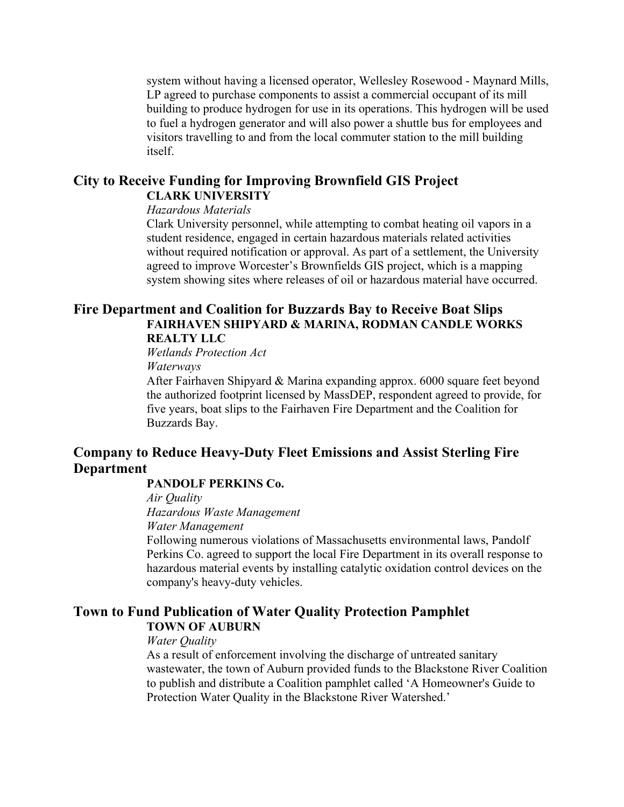system without having a licensed operator, Wellesley Rosewood - Maynard Mills, LP agreed to purchase components to assist a commercial occupant of its mill building to produce hydrogen for use in its operations. This hydrogen will be used to fuel a hydrogen generator and will also power a shuttle bus for employees and visitors travelling to and from the local commuter station to the mill building itself.

## **City to Receive Funding for Improving Brownfield GIS Project CLARK UNIVERSITY**

## *Hazardous Materials*

Clark University personnel, while attempting to combat heating oil vapors in a student residence, engaged in certain hazardous materials related activities without required notification or approval. As part of a settlement, the University agreed to improve Worcester's Brownfields GIS project, which is a mapping system showing sites where releases of oil or hazardous material have occurred.

## **Fire Department and Coalition for Buzzards Bay to Receive Boat Slips FAIRHAVEN SHIPYARD & MARINA, RODMAN CANDLE WORKS REALTY LLC**

*Wetlands Protection Act Waterways*

After Fairhaven Shipyard & Marina expanding approx. 6000 square feet beyond the authorized footprint licensed by MassDEP, respondent agreed to provide, for five years, boat slips to the Fairhaven Fire Department and the Coalition for Buzzards Bay.

## **Company to Reduce Heavy-Duty Fleet Emissions and Assist Sterling Fire Department**

## **PANDOLF PERKINS Co.**

*Air Quality*

*Hazardous Waste Management*

*Water Management*

Following numerous violations of Massachusetts environmental laws, Pandolf Perkins Co. agreed to support the local Fire Department in its overall response to hazardous material events by installing catalytic oxidation control devices on the company's heavy-duty vehicles.

## **Town to Fund Publication of Water Quality Protection Pamphlet TOWN OF AUBURN**

#### *Water Quality*

As a result of enforcement involving the discharge of untreated sanitary wastewater, the town of Auburn provided funds to the Blackstone River Coalition to publish and distribute a Coalition pamphlet called 'A Homeowner's Guide to Protection Water Quality in the Blackstone River Watershed.'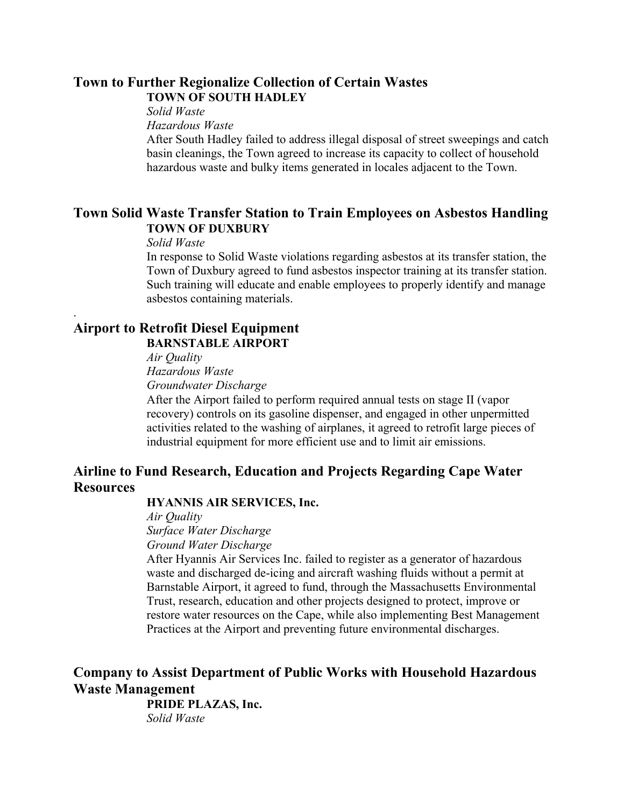## **Town to Further Regionalize Collection of Certain Wastes TOWN OF SOUTH HADLEY**

#### *Solid Waste*

*Hazardous Waste*

After South Hadley failed to address illegal disposal of street sweepings and catch basin cleanings, the Town agreed to increase its capacity to collect of household hazardous waste and bulky items generated in locales adjacent to the Town.

## **Town Solid Waste Transfer Station to Train Employees on Asbestos Handling TOWN OF DUXBURY**

*Solid Waste* 

.

In response to Solid Waste violations regarding asbestos at its transfer station, the Town of Duxbury agreed to fund asbestos inspector training at its transfer station. Such training will educate and enable employees to properly identify and manage asbestos containing materials.

## **Airport to Retrofit Diesel Equipment BARNSTABLE AIRPORT**

*Air Quality Hazardous Waste* 

*Groundwater Discharge*

After the Airport failed to perform required annual tests on stage II (vapor recovery) controls on its gasoline dispenser, and engaged in other unpermitted activities related to the washing of airplanes, it agreed to retrofit large pieces of industrial equipment for more efficient use and to limit air emissions.

# **Airline to Fund Research, Education and Projects Regarding Cape Water Resources**

## **HYANNIS AIR SERVICES, Inc.**

*Air Quality Surface Water Discharge Ground Water Discharge*

After Hyannis Air Services Inc. failed to register as a generator of hazardous waste and discharged de-icing and aircraft washing fluids without a permit at Barnstable Airport, it agreed to fund, through the Massachusetts Environmental Trust, research, education and other projects designed to protect, improve or restore water resources on the Cape, while also implementing Best Management Practices at the Airport and preventing future environmental discharges.

# **Company to Assist Department of Public Works with Household Hazardous Waste Management**

**PRIDE PLAZAS, Inc.**  *Solid Waste*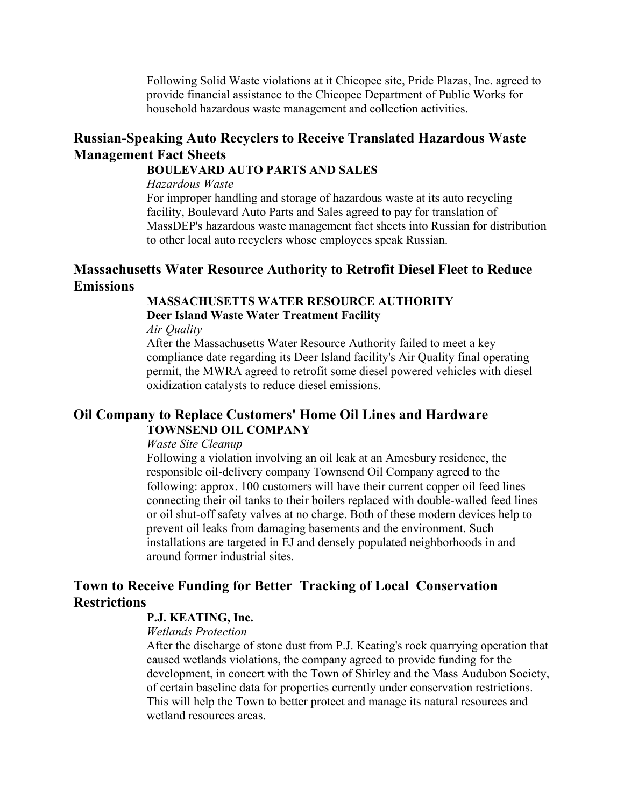Following Solid Waste violations at it Chicopee site, Pride Plazas, Inc. agreed to provide financial assistance to the Chicopee Department of Public Works for household hazardous waste management and collection activities.

## **Russian-Speaking Auto Recyclers to Receive Translated Hazardous Waste Management Fact Sheets**

## **BOULEVARD AUTO PARTS AND SALES**

*Hazardous Waste* 

For improper handling and storage of hazardous waste at its auto recycling facility, Boulevard Auto Parts and Sales agreed to pay for translation of MassDEP's hazardous waste management fact sheets into Russian for distribution to other local auto recyclers whose employees speak Russian.

## **Massachusetts Water Resource Authority to Retrofit Diesel Fleet to Reduce Emissions**

#### **MASSACHUSETTS WATER RESOURCE AUTHORITY**

#### **Deer Island Waste Water Treatment Facility**

*Air Quality*

After the Massachusetts Water Resource Authority failed to meet a key compliance date regarding its Deer Island facility's Air Quality final operating permit, the MWRA agreed to retrofit some diesel powered vehicles with diesel oxidization catalysts to reduce diesel emissions.

## **Oil Company to Replace Customers' Home Oil Lines and Hardware TOWNSEND OIL COMPANY**

#### *Waste Site Cleanup*

Following a violation involving an oil leak at an Amesbury residence, the responsible oil-delivery company Townsend Oil Company agreed to the following: approx. 100 customers will have their current copper oil feed lines connecting their oil tanks to their boilers replaced with double-walled feed lines or oil shut-off safety valves at no charge. Both of these modern devices help to prevent oil leaks from damaging basements and the environment. Such installations are targeted in EJ and densely populated neighborhoods in and around former industrial sites.

## **Town to Receive Funding for Better Tracking of Local Conservation Restrictions**

## **P.J. KEATING, Inc.**

#### *Wetlands Protection*

After the discharge of stone dust from P.J. Keating's rock quarrying operation that caused wetlands violations, the company agreed to provide funding for the development, in concert with the Town of Shirley and the Mass Audubon Society, of certain baseline data for properties currently under conservation restrictions. This will help the Town to better protect and manage its natural resources and wetland resources areas.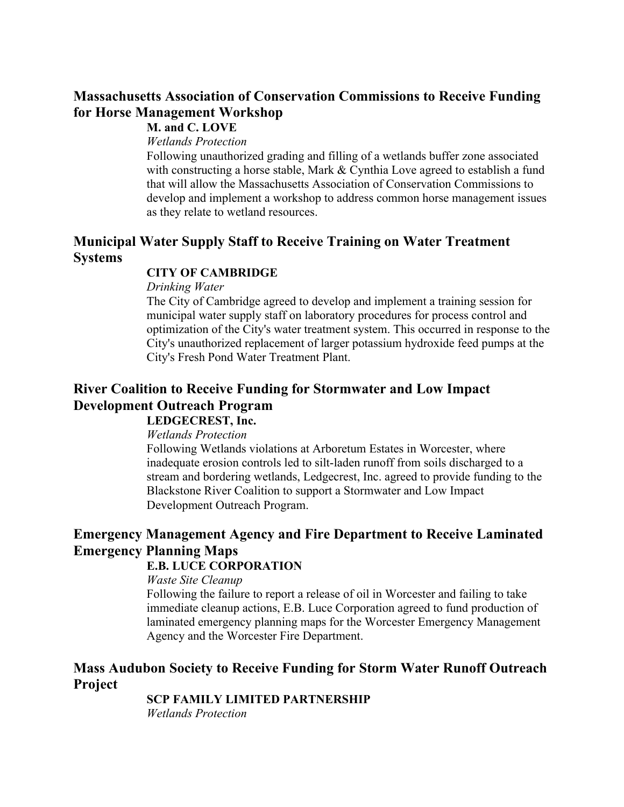# **Massachusetts Association of Conservation Commissions to Receive Funding for Horse Management Workshop**

## **M. and C. LOVE**

*Wetlands Protection*

Following unauthorized grading and filling of a wetlands buffer zone associated with constructing a horse stable, Mark & Cynthia Love agreed to establish a fund that will allow the Massachusetts Association of Conservation Commissions to develop and implement a workshop to address common horse management issues as they relate to wetland resources.

# **Municipal Water Supply Staff to Receive Training on Water Treatment Systems**

## **CITY OF CAMBRIDGE**

*Drinking Water*

The City of Cambridge agreed to develop and implement a training session for municipal water supply staff on laboratory procedures for process control and optimization of the City's water treatment system. This occurred in response to the City's unauthorized replacement of larger potassium hydroxide feed pumps at the City's Fresh Pond Water Treatment Plant.

# **River Coalition to Receive Funding for Stormwater and Low Impact Development Outreach Program**

## **LEDGECREST, Inc.**

*Wetlands Protection*

Following Wetlands violations at Arboretum Estates in Worcester, where inadequate erosion controls led to silt-laden runoff from soils discharged to a stream and bordering wetlands, Ledgecrest, Inc. agreed to provide funding to the Blackstone River Coalition to support a Stormwater and Low Impact Development Outreach Program.

# **Emergency Management Agency and Fire Department to Receive Laminated Emergency Planning Maps**

## **E.B. LUCE CORPORATION**

*Waste Site Cleanup*

Following the failure to report a release of oil in Worcester and failing to take immediate cleanup actions, E.B. Luce Corporation agreed to fund production of laminated emergency planning maps for the Worcester Emergency Management Agency and the Worcester Fire Department.

## **Mass Audubon Society to Receive Funding for Storm Water Runoff Outreach Project**

## **SCP FAMILY LIMITED PARTNERSHIP**

*Wetlands Protection*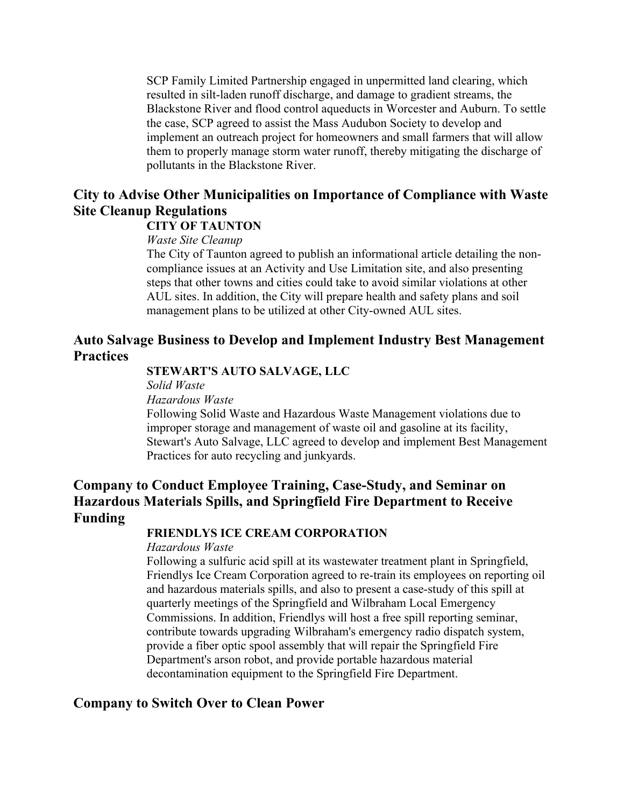SCP Family Limited Partnership engaged in unpermitted land clearing, which resulted in silt-laden runoff discharge, and damage to gradient streams, the Blackstone River and flood control aqueducts in Worcester and Auburn. To settle the case, SCP agreed to assist the Mass Audubon Society to develop and implement an outreach project for homeowners and small farmers that will allow them to properly manage storm water runoff, thereby mitigating the discharge of pollutants in the Blackstone River.

## **City to Advise Other Municipalities on Importance of Compliance with Waste Site Cleanup Regulations**

## **CITY OF TAUNTON**

#### *Waste Site Cleanup*

The City of Taunton agreed to publish an informational article detailing the noncompliance issues at an Activity and Use Limitation site, and also presenting steps that other towns and cities could take to avoid similar violations at other AUL sites. In addition, the City will prepare health and safety plans and soil management plans to be utilized at other City-owned AUL sites.

## **Auto Salvage Business to Develop and Implement Industry Best Management Practices**

## **STEWART'S AUTO SALVAGE, LLC**

*Solid Waste* 

*Hazardous Waste* 

Following Solid Waste and Hazardous Waste Management violations due to improper storage and management of waste oil and gasoline at its facility, Stewart's Auto Salvage, LLC agreed to develop and implement Best Management Practices for auto recycling and junkyards.

# **Company to Conduct Employee Training, Case-Study, and Seminar on Hazardous Materials Spills, and Springfield Fire Department to Receive Funding**

## **FRIENDLYS ICE CREAM CORPORATION**

*Hazardous Waste* 

Following a sulfuric acid spill at its wastewater treatment plant in Springfield, Friendlys Ice Cream Corporation agreed to re-train its employees on reporting oil and hazardous materials spills, and also to present a case-study of this spill at quarterly meetings of the Springfield and Wilbraham Local Emergency Commissions. In addition, Friendlys will host a free spill reporting seminar, contribute towards upgrading Wilbraham's emergency radio dispatch system, provide a fiber optic spool assembly that will repair the Springfield Fire Department's arson robot, and provide portable hazardous material decontamination equipment to the Springfield Fire Department.

## **Company to Switch Over to Clean Power**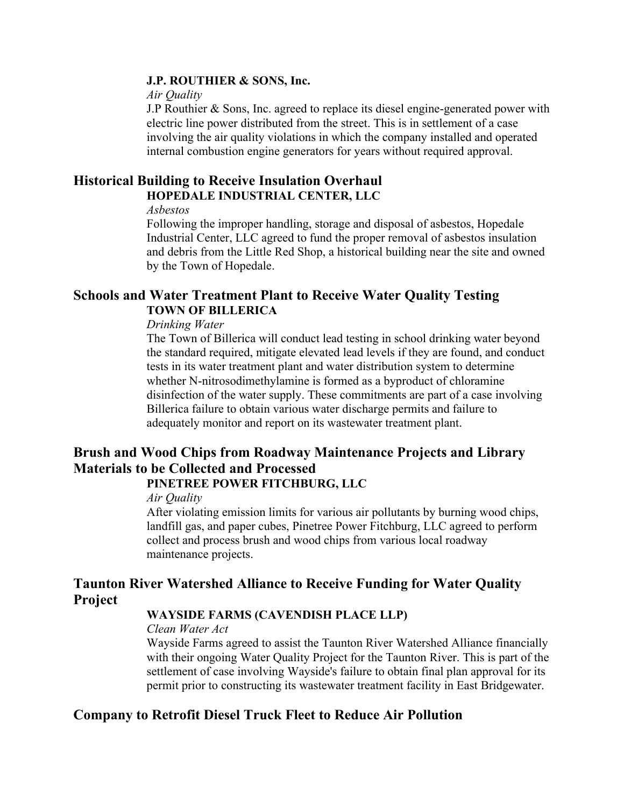#### **J.P. ROUTHIER & SONS, Inc.**

#### *Air Quality*

J.P Routhier & Sons, Inc. agreed to replace its diesel engine-generated power with electric line power distributed from the street. This is in settlement of a case involving the air quality violations in which the company installed and operated internal combustion engine generators for years without required approval.

## **Historical Building to Receive Insulation Overhaul HOPEDALE INDUSTRIAL CENTER, LLC**

#### *Asbestos*

Following the improper handling, storage and disposal of asbestos, Hopedale Industrial Center, LLC agreed to fund the proper removal of asbestos insulation and debris from the Little Red Shop, a historical building near the site and owned by the Town of Hopedale.

## **Schools and Water Treatment Plant to Receive Water Quality Testing TOWN OF BILLERICA**

#### *Drinking Water*

The Town of Billerica will conduct lead testing in school drinking water beyond the standard required, mitigate elevated lead levels if they are found, and conduct tests in its water treatment plant and water distribution system to determine whether N-nitrosodimethylamine is formed as a byproduct of chloramine disinfection of the water supply. These commitments are part of a case involving Billerica failure to obtain various water discharge permits and failure to adequately monitor and report on its wastewater treatment plant.

# **Brush and Wood Chips from Roadway Maintenance Projects and Library Materials to be Collected and Processed**

## **PINETREE POWER FITCHBURG, LLC**

#### *Air Quality*

After violating emission limits for various air pollutants by burning wood chips, landfill gas, and paper cubes, Pinetree Power Fitchburg, LLC agreed to perform collect and process brush and wood chips from various local roadway maintenance projects.

## **Taunton River Watershed Alliance to Receive Funding for Water Quality Project**

## **WAYSIDE FARMS (CAVENDISH PLACE LLP)**

#### *Clean Water Act*

Wayside Farms agreed to assist the Taunton River Watershed Alliance financially with their ongoing Water Quality Project for the Taunton River. This is part of the settlement of case involving Wayside's failure to obtain final plan approval for its permit prior to constructing its wastewater treatment facility in East Bridgewater.

# **Company to Retrofit Diesel Truck Fleet to Reduce Air Pollution**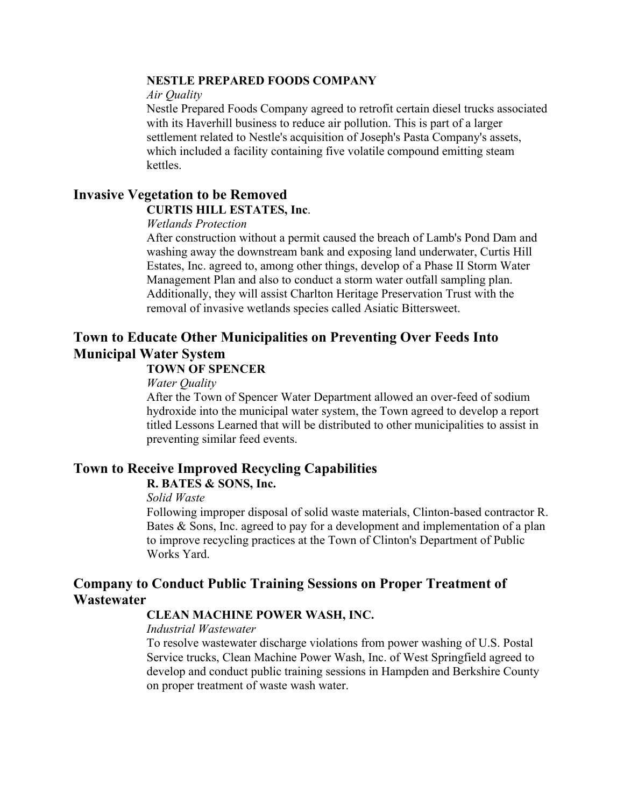## **NESTLE PREPARED FOODS COMPANY**

#### *Air Quality*

Nestle Prepared Foods Company agreed to retrofit certain diesel trucks associated with its Haverhill business to reduce air pollution. This is part of a larger settlement related to Nestle's acquisition of Joseph's Pasta Company's assets, which included a facility containing five volatile compound emitting steam kettles.

#### **Invasive Vegetation to be Removed CURTIS HILL ESTATES, Inc**.

#### *Wetlands Protection*

After construction without a permit caused the breach of Lamb's Pond Dam and washing away the downstream bank and exposing land underwater, Curtis Hill Estates, Inc. agreed to, among other things, develop of a Phase II Storm Water Management Plan and also to conduct a storm water outfall sampling plan. Additionally, they will assist Charlton Heritage Preservation Trust with the removal of invasive wetlands species called Asiatic Bittersweet.

# **Town to Educate Other Municipalities on Preventing Over Feeds Into Municipal Water System**

## **TOWN OF SPENCER**

*Water Quality*

After the Town of Spencer Water Department allowed an over-feed of sodium hydroxide into the municipal water system, the Town agreed to develop a report titled Lessons Learned that will be distributed to other municipalities to assist in preventing similar feed events.

# **Town to Receive Improved Recycling Capabilities**

## **R. BATES & SONS, Inc.**

#### *Solid Waste*

Following improper disposal of solid waste materials, Clinton-based contractor R. Bates & Sons, Inc. agreed to pay for a development and implementation of a plan to improve recycling practices at the Town of Clinton's Department of Public Works Yard.

## **Company to Conduct Public Training Sessions on Proper Treatment of Wastewater**

#### **CLEAN MACHINE POWER WASH, INC.**

#### *Industrial Wastewater*

To resolve wastewater discharge violations from power washing of U.S. Postal Service trucks, Clean Machine Power Wash, Inc. of West Springfield agreed to develop and conduct public training sessions in Hampden and Berkshire County on proper treatment of waste wash water.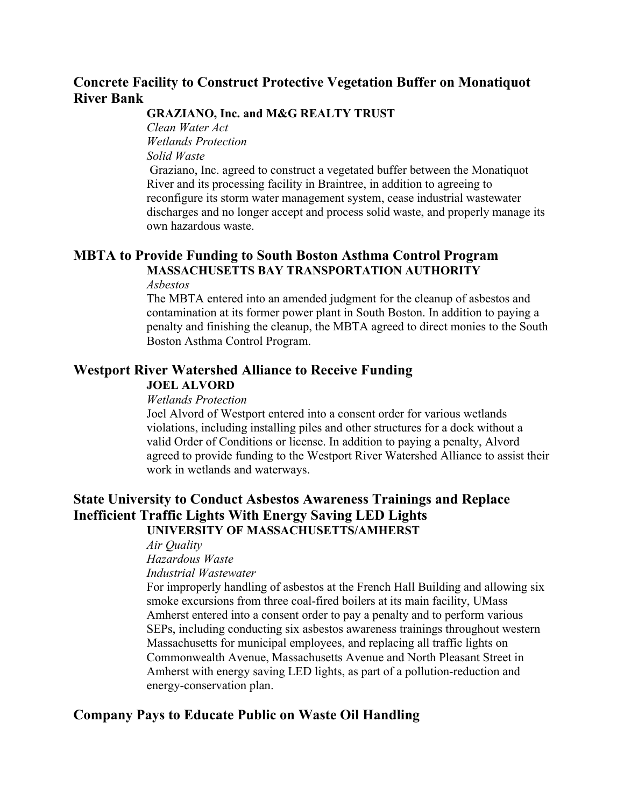# **Concrete Facility to Construct Protective Vegetation Buffer on Monatiquot River Bank**

#### **GRAZIANO, Inc. and M&G REALTY TRUST**

*Clean Water Act Wetlands Protection Solid Waste*  Graziano, Inc. agreed to construct a vegetated buffer between the Monatiquot River and its processing facility in Braintree, in addition to agreeing to reconfigure its storm water management system, cease industrial wastewater discharges and no longer accept and process solid waste, and properly manage its own hazardous waste.

# **MBTA to Provide Funding to South Boston Asthma Control Program MASSACHUSETTS BAY TRANSPORTATION AUTHORITY**

#### *Asbestos*

The MBTA entered into an amended judgment for the cleanup of asbestos and contamination at its former power plant in South Boston. In addition to paying a penalty and finishing the cleanup, the MBTA agreed to direct monies to the South Boston Asthma Control Program.

# **Westport River Watershed Alliance to Receive Funding**

#### **JOEL ALVORD**

#### *Wetlands Protection*

Joel Alvord of Westport entered into a consent order for various wetlands violations, including installing piles and other structures for a dock without a valid Order of Conditions or license. In addition to paying a penalty, Alvord agreed to provide funding to the Westport River Watershed Alliance to assist their work in wetlands and waterways.

## **State University to Conduct Asbestos Awareness Trainings and Replace Inefficient Traffic Lights With Energy Saving LED Lights UNIVERSITY OF MASSACHUSETTS/AMHERST**

*Air Quality*

*Hazardous Waste*

*Industrial Wastewater*

For improperly handling of asbestos at the French Hall Building and allowing six smoke excursions from three coal-fired boilers at its main facility, UMass Amherst entered into a consent order to pay a penalty and to perform various SEPs, including conducting six asbestos awareness trainings throughout western Massachusetts for municipal employees, and replacing all traffic lights on Commonwealth Avenue, Massachusetts Avenue and North Pleasant Street in Amherst with energy saving LED lights, as part of a pollution-reduction and energy-conservation plan.

## **Company Pays to Educate Public on Waste Oil Handling**